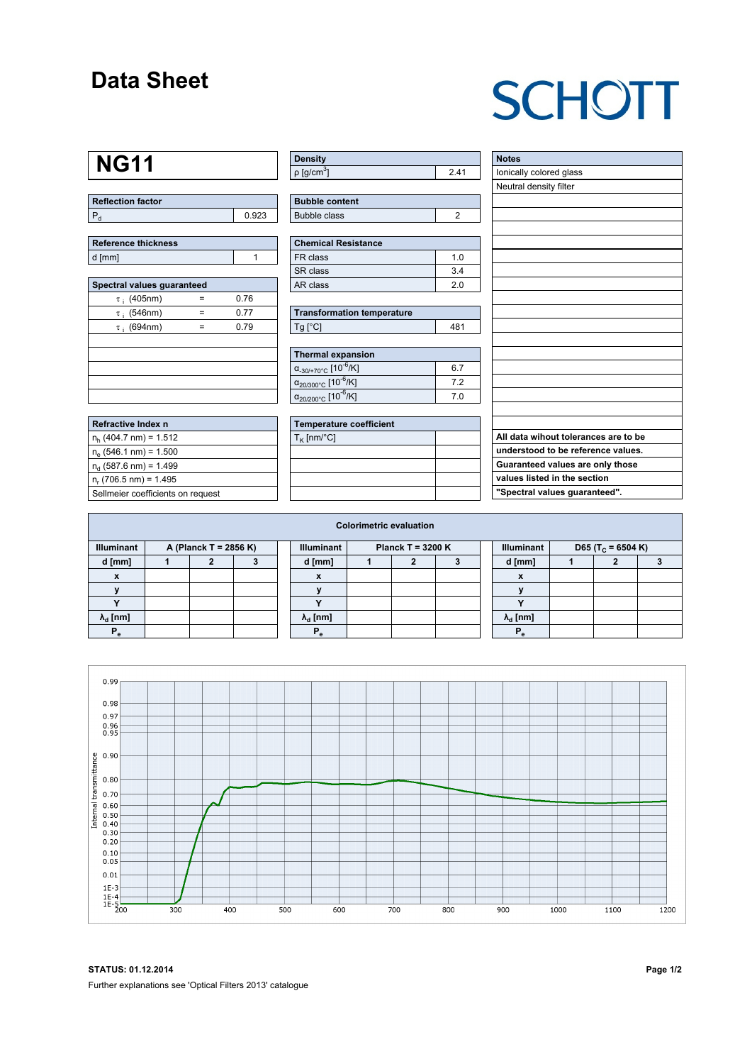### **Data Sheet**

# **SCHOTT**

### **NG11**

| <b>Reflection factor</b> |       |
|--------------------------|-------|
|                          | በ 923 |

| <b>Reference thickness</b> |  |
|----------------------------|--|
| d [mm]                     |  |

| Spectral values quaranteed |   |      |  |  |  |  |  |  |  |
|----------------------------|---|------|--|--|--|--|--|--|--|
| $\tau$ ; (405nm)           |   | 0.76 |  |  |  |  |  |  |  |
| $\tau$ ; (546nm)           | = | 0.77 |  |  |  |  |  |  |  |
| $\tau$ ; (694nm)           | = | 0.79 |  |  |  |  |  |  |  |
|                            |   |      |  |  |  |  |  |  |  |
|                            |   |      |  |  |  |  |  |  |  |
|                            |   |      |  |  |  |  |  |  |  |
|                            |   |      |  |  |  |  |  |  |  |
|                            |   |      |  |  |  |  |  |  |  |

| <b>Refractive Index n</b>         |  |
|-----------------------------------|--|
| $n_h$ (404.7 nm) = 1.512          |  |
| $n_e$ (546.1 nm) = 1.500          |  |
| $n_d$ (587.6 nm) = 1.499          |  |
| $n_r$ (706.5 nm) = 1.495          |  |
| Sellmeier coefficients on request |  |

| ∣ Density                |  |
|--------------------------|--|
| $p$ [g/cm <sup>3</sup> ] |  |

| <b>Bubble content</b> |  |
|-----------------------|--|
| Bubble class          |  |

| <b>Chemical Resistance</b> |                |  |  |  |  |  |
|----------------------------|----------------|--|--|--|--|--|
| FR class                   | 1 <sub>0</sub> |  |  |  |  |  |
| l SR class                 | 34             |  |  |  |  |  |
| l AR class                 | 20             |  |  |  |  |  |

| <b>Transformation temperature</b> |     |  |  |  |  |  |
|-----------------------------------|-----|--|--|--|--|--|
| $Ta$ $C1$                         | 481 |  |  |  |  |  |

| Thermal expansion                                 |    |  |  |  |  |  |
|---------------------------------------------------|----|--|--|--|--|--|
| $\alpha_{-30/+70^{\circ}C}$ [10 <sup>-6</sup> /K] | 67 |  |  |  |  |  |
| $\alpha_{20/300^{\circ}C}$ [10 <sup>-6</sup> /K]  | 72 |  |  |  |  |  |
| $\alpha_{20/200^{\circ}C}$ [10 <sup>-6</sup> /K]  | 70 |  |  |  |  |  |

| <b>Temperature coefficient</b> |  |  |  |  |  |  |  |
|--------------------------------|--|--|--|--|--|--|--|
| $T_K$ [nm/°C]                  |  |  |  |  |  |  |  |
|                                |  |  |  |  |  |  |  |
|                                |  |  |  |  |  |  |  |
|                                |  |  |  |  |  |  |  |
|                                |  |  |  |  |  |  |  |

| <b>Notes</b>                         |
|--------------------------------------|
| lonically colored glass              |
| Neutral density filter               |
|                                      |
|                                      |
|                                      |
|                                      |
|                                      |
|                                      |
|                                      |
|                                      |
|                                      |
|                                      |
|                                      |
|                                      |
|                                      |
|                                      |
|                                      |
|                                      |
|                                      |
| All data wihout tolerances are to be |
| understood to be reference values.   |
| Guaranteed values are only those     |
| values listed in the section         |
| "Spectral values guaranteed".        |

| <b>Colorimetric evaluation</b>             |  |  |  |                                          |                        |  |  |  |                   |                               |  |  |  |
|--------------------------------------------|--|--|--|------------------------------------------|------------------------|--|--|--|-------------------|-------------------------------|--|--|--|
| <b>Illuminant</b><br>A (Planck T = 2856 K) |  |  |  | <b>Illuminant</b><br>Planck T = $3200 K$ |                        |  |  |  | <b>Illuminant</b> | D65 (T <sub>c</sub> = 6504 K) |  |  |  |
| d [mm]                                     |  |  |  |                                          | d [mm]                 |  |  |  |                   | d [mm]                        |  |  |  |
| X                                          |  |  |  |                                          | X                      |  |  |  |                   | $\boldsymbol{x}$              |  |  |  |
|                                            |  |  |  |                                          |                        |  |  |  |                   |                               |  |  |  |
|                                            |  |  |  |                                          |                        |  |  |  |                   |                               |  |  |  |
| $\lambda_{d}$ [nm]                         |  |  |  |                                          | $\lambda_{\rm d}$ [nm] |  |  |  |                   | $\lambda_{\rm d}$ [nm]        |  |  |  |
| $P_e$                                      |  |  |  |                                          | P.                     |  |  |  |                   | Р                             |  |  |  |